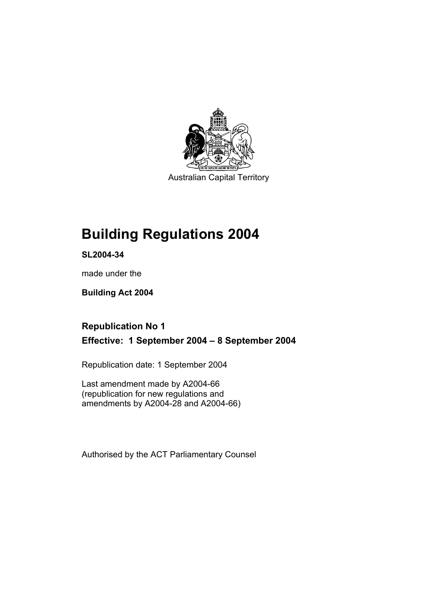

Australian Capital Territory

# **Building Regulations 2004**

**SL2004-34** 

made under the

**Building Act 2004** 

# **Republication No 1 Effective: 1 September 2004 – 8 September 2004**

Republication date: 1 September 2004

Last amendment made by A2004-66 (republication for new regulations and amendments by A2004-28 and A2004-66)

Authorised by the ACT Parliamentary Counsel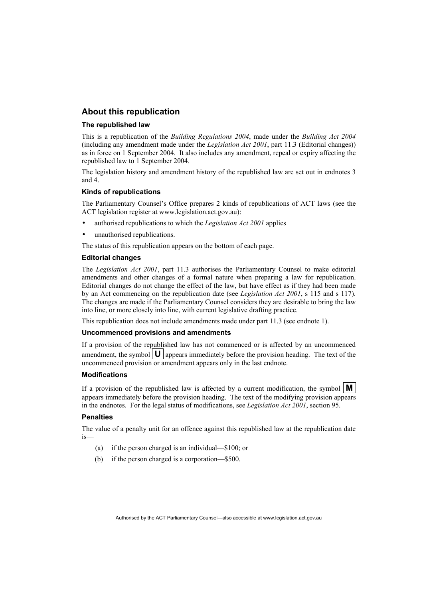### **About this republication**

#### **The republished law**

This is a republication of the *Building Regulations 2004*, made under the *Building Act 2004* (including any amendment made under the *Legislation Act 2001*, part 11.3 (Editorial changes)) as in force on 1 September 2004*.* It also includes any amendment, repeal or expiry affecting the republished law to 1 September 2004.

The legislation history and amendment history of the republished law are set out in endnotes 3 and 4.

#### **Kinds of republications**

The Parliamentary Counsel's Office prepares 2 kinds of republications of ACT laws (see the ACT legislation register at www.legislation.act.gov.au):

- authorised republications to which the *Legislation Act 2001* applies
- unauthorised republications.

The status of this republication appears on the bottom of each page.

#### **Editorial changes**

The *Legislation Act 2001*, part 11.3 authorises the Parliamentary Counsel to make editorial amendments and other changes of a formal nature when preparing a law for republication. Editorial changes do not change the effect of the law, but have effect as if they had been made by an Act commencing on the republication date (see *Legislation Act 2001*, s 115 and s 117). The changes are made if the Parliamentary Counsel considers they are desirable to bring the law into line, or more closely into line, with current legislative drafting practice.

This republication does not include amendments made under part 11.3 (see endnote 1).

#### **Uncommenced provisions and amendments**

If a provision of the republished law has not commenced or is affected by an uncommenced amendment, the symbol  $\mathbf{U}$  appears immediately before the provision heading. The text of the uncommenced provision or amendment appears only in the last endnote.

#### **Modifications**

If a provision of the republished law is affected by a current modification, the symbol  $\mathbf{M}$ appears immediately before the provision heading. The text of the modifying provision appears in the endnotes. For the legal status of modifications, see *Legislation Act 2001*, section 95.

#### **Penalties**

The value of a penalty unit for an offence against this republished law at the republication date is—

- (a) if the person charged is an individual—\$100; or
- (b) if the person charged is a corporation—\$500.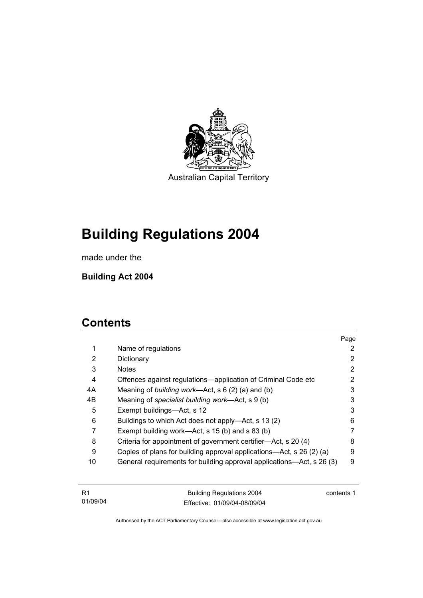

Australian Capital Territory

# **Building Regulations 2004**

made under the

**Building Act 2004** 

# **Contents**

|    |                                                                       | Page |
|----|-----------------------------------------------------------------------|------|
| 1  | Name of regulations                                                   | 2    |
| 2  | Dictionary                                                            | 2    |
| 3  | <b>Notes</b>                                                          | 2    |
| 4  | Offences against regulations—application of Criminal Code etc         | 2    |
| 4A | Meaning of <i>building work</i> —Act, s $6(2)$ (a) and (b)            | 3    |
| 4B | Meaning of specialist building work—Act, s 9 (b)                      | 3    |
| 5  | Exempt buildings—Act, s 12                                            | 3    |
| 6  | Buildings to which Act does not apply—Act, s 13 (2)                   | 6    |
|    | Exempt building work—Act, s 15 (b) and s 83 (b)                       |      |
| 8  | Criteria for appointment of government certifier—Act, s 20 (4)        | 8    |
| 9  | Copies of plans for building approval applications—Act, s 26 (2) (a)  | 9    |
| 10 | General requirements for building approval applications—Act, s 26 (3) | 9    |

| - R1     | <b>Building Regulations 2004</b> | contents 1 |
|----------|----------------------------------|------------|
| 01/09/04 | Effective: 01/09/04-08/09/04     |            |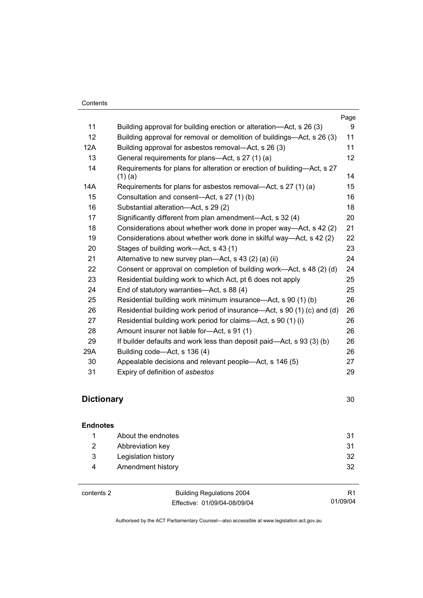|     |                                                                                      | Page            |
|-----|--------------------------------------------------------------------------------------|-----------------|
| 11  | Building approval for building erection or alteration—Act, s 26 (3)                  | 9               |
| 12  | Building approval for removal or demolition of buildings—Act, s 26 (3)               | 11              |
| 12A | Building approval for asbestos removal—Act, s 26 (3)                                 | 11              |
| 13  | General requirements for plans-Act, s 27 (1) (a)                                     | 12 <sup>°</sup> |
| 14  | Requirements for plans for alteration or erection of building-Act, s 27<br>$(1)$ (a) | 14              |
| 14A | Requirements for plans for asbestos removal—Act, s 27 (1) (a)                        | 15              |
| 15  | Consultation and consent-Act, s 27 (1) (b)                                           | 16              |
| 16  | Substantial alteration-Act, s 29 (2)                                                 | 18              |
| 17  | Significantly different from plan amendment—Act, s 32 (4)                            | 20              |
| 18  | Considerations about whether work done in proper way—Act, s 42 (2)                   | 21              |
| 19  | Considerations about whether work done in skilful way—Act, s 42 (2)                  | 22              |
| 20  | Stages of building work—Act, s 43 (1)                                                | 23              |
| 21  | Alternative to new survey plan—Act, s 43 (2) (a) (ii)                                | 24              |
| 22  | Consent or approval on completion of building work—Act, s 48 (2) (d)                 | 24              |
| 23  | Residential building work to which Act, pt 6 does not apply                          | 25              |
| 24  | End of statutory warranties—Act, s 88 (4)                                            | 25              |
| 25  | Residential building work minimum insurance—Act, s 90 (1) (b)                        | 26              |
| 26  | Residential building work period of insurance—Act, s 90 (1) (c) and (d)              | 26              |
| 27  | Residential building work period for claims—Act, s 90 (1) (i)                        | 26              |
| 28  | Amount insurer not liable for-Act, s 91 (1)                                          | 26              |
| 29  | If builder defaults and work less than deposit paid—Act, s 93 (3) (b)                | 26              |
| 29A | Building code—Act, s 136 (4)                                                         | 26              |
| 30  | Appealable decisions and relevant people—Act, s 146 (5)                              | 27              |
| 31  | Expiry of definition of asbestos                                                     | 29              |

# **Dictionary** 30

| <b>Endnotes</b> |                     |    |
|-----------------|---------------------|----|
|                 | About the endnotes  | 31 |
| 2               | Abbreviation key    | 31 |
| 3               | Legislation history | 32 |
| 4               | Amendment history   | 32 |
|                 |                     |    |

contents 2 Building Regulations 2004 Effective: 01/09/04-08/09/04

R1 01/09/04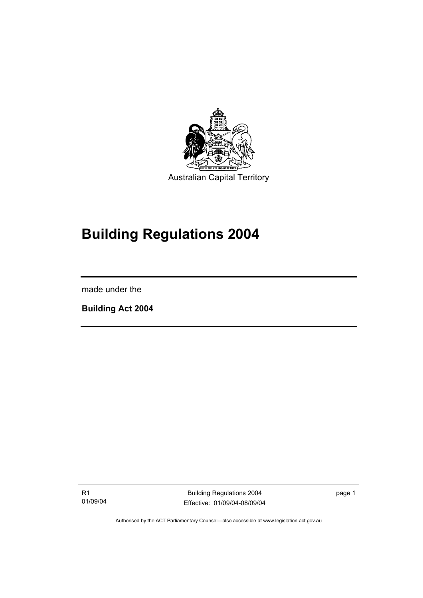

# **Building Regulations 2004**

made under the

I

**Building Act 2004** 

R1 01/09/04

Building Regulations 2004 Effective: 01/09/04-08/09/04 page 1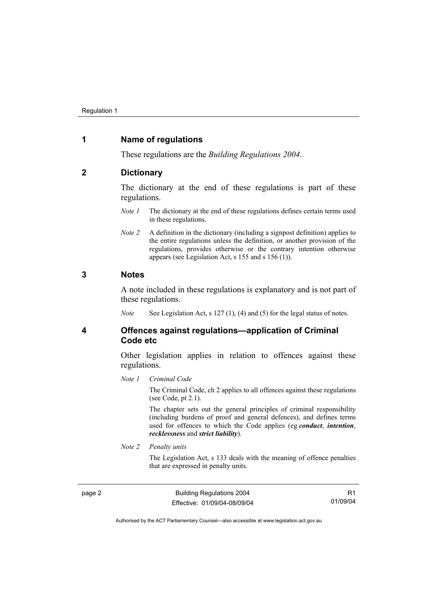### **1 Name of regulations**

These regulations are the *Building Regulations 2004*.

#### **2 Dictionary**

The dictionary at the end of these regulations is part of these regulations.

- *Note 1* The dictionary at the end of these regulations defines certain terms used in these regulations.
- *Note 2* A definition in the dictionary (including a signpost definition) applies to the entire regulations unless the definition, or another provision of the regulations, provides otherwise or the contrary intention otherwise appears (see Legislation Act, s 155 and s 156 (1)).

#### **3 Notes**

A note included in these regulations is explanatory and is not part of these regulations.

*Note* See Legislation Act, s 127 (1), (4) and (5) for the legal status of notes.

**4 Offences against regulations—application of Criminal Code etc** 

> Other legislation applies in relation to offences against these regulations.

#### *Note 1 Criminal Code*

The Criminal Code, ch 2 applies to all offences against these regulations (see Code, pt 2.1).

The chapter sets out the general principles of criminal responsibility (including burdens of proof and general defences), and defines terms used for offences to which the Code applies (eg *conduct*, *intention*, *recklessness* and *strict liability*).

*Note 2 Penalty units* 

The Legislation Act, s 133 deals with the meaning of offence penalties that are expressed in penalty units.

page 2 **Building Regulations 2004** Effective: 01/09/04-08/09/04

R1 01/09/04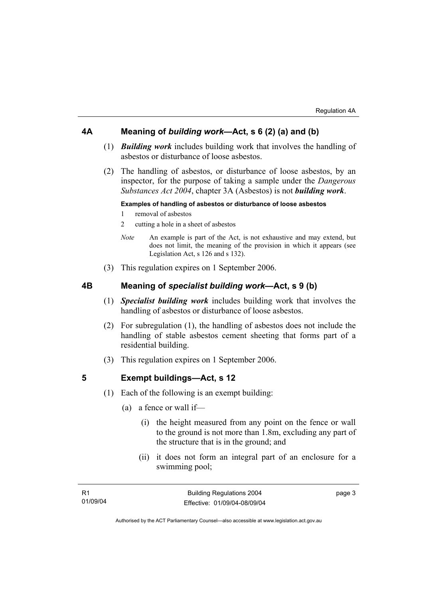## **4A Meaning of** *building work***—Act, s 6 (2) (a) and (b)**

- (1) *Building work* includes building work that involves the handling of asbestos or disturbance of loose asbestos.
- (2) The handling of asbestos, or disturbance of loose asbestos, by an inspector, for the purpose of taking a sample under the *Dangerous Substances Act 2004*, chapter 3A (Asbestos) is not *building work*.

#### **Examples of handling of asbestos or disturbance of loose asbestos**

- 1 removal of asbestos
- 2 cutting a hole in a sheet of asbestos
- *Note* An example is part of the Act, is not exhaustive and may extend, but does not limit, the meaning of the provision in which it appears (see Legislation Act, s 126 and s 132).
- (3) This regulation expires on 1 September 2006.

## **4B Meaning of** *specialist building work***—Act, s 9 (b)**

- (1) *Specialist building work* includes building work that involves the handling of asbestos or disturbance of loose asbestos.
- (2) For subregulation (1), the handling of asbestos does not include the handling of stable asbestos cement sheeting that forms part of a residential building.
- (3) This regulation expires on 1 September 2006.

### **5 Exempt buildings—Act, s 12**

- (1) Each of the following is an exempt building:
	- (a) a fence or wall if—
		- (i) the height measured from any point on the fence or wall to the ground is not more than 1.8m, excluding any part of the structure that is in the ground; and
		- (ii) it does not form an integral part of an enclosure for a swimming pool;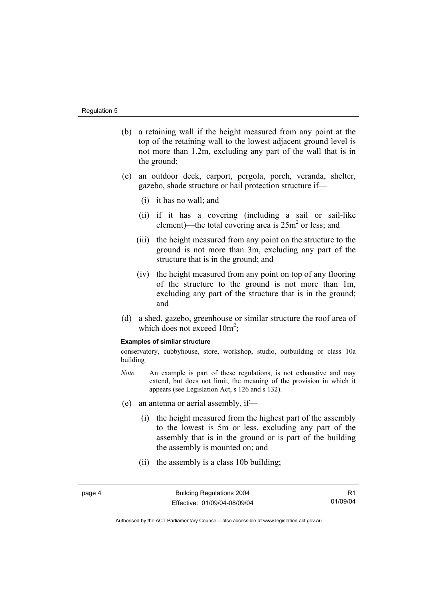- (b) a retaining wall if the height measured from any point at the top of the retaining wall to the lowest adjacent ground level is not more than 1.2m, excluding any part of the wall that is in the ground;
- (c) an outdoor deck, carport, pergola, porch, veranda, shelter, gazebo, shade structure or hail protection structure if—
	- (i) it has no wall; and
	- (ii) if it has a covering (including a sail or sail-like element)—the total covering area is  $25m^2$  or less; and
	- (iii) the height measured from any point on the structure to the ground is not more than 3m, excluding any part of the structure that is in the ground; and
	- (iv) the height measured from any point on top of any flooring of the structure to the ground is not more than 1m, excluding any part of the structure that is in the ground; and
- (d) a shed, gazebo, greenhouse or similar structure the roof area of which does not exceed  $10m^2$ ;

#### **Examples of similar structure**

conservatory, cubbyhouse, store, workshop, studio, outbuilding or class 10a building

- *Note* An example is part of these regulations, is not exhaustive and may extend, but does not limit, the meaning of the provision in which it appears (see Legislation Act, s 126 and s 132).
- (e) an antenna or aerial assembly, if—
	- (i) the height measured from the highest part of the assembly to the lowest is 5m or less, excluding any part of the assembly that is in the ground or is part of the building the assembly is mounted on; and
	- (ii) the assembly is a class 10b building;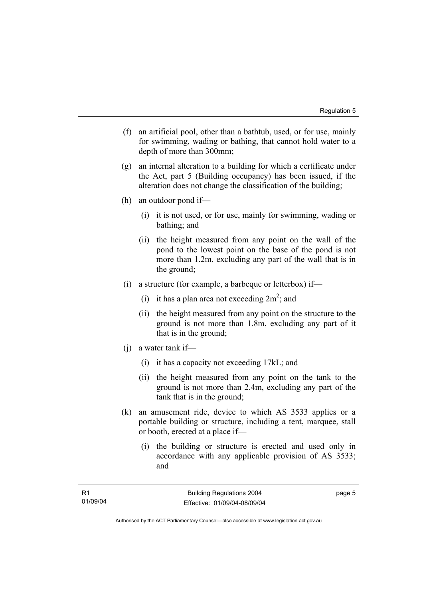- (f) an artificial pool, other than a bathtub, used, or for use, mainly for swimming, wading or bathing, that cannot hold water to a depth of more than 300mm;
- (g) an internal alteration to a building for which a certificate under the Act, part 5 (Building occupancy) has been issued, if the alteration does not change the classification of the building;
- (h) an outdoor pond if—
	- (i) it is not used, or for use, mainly for swimming, wading or bathing; and
	- (ii) the height measured from any point on the wall of the pond to the lowest point on the base of the pond is not more than 1.2m, excluding any part of the wall that is in the ground;
- (i) a structure (for example, a barbeque or letterbox) if—
- (i) it has a plan area not exceeding  $2m^2$ ; and
	- (ii) the height measured from any point on the structure to the ground is not more than 1.8m, excluding any part of it that is in the ground;
	- (j) a water tank if—
		- (i) it has a capacity not exceeding 17kL; and
		- (ii) the height measured from any point on the tank to the ground is not more than 2.4m, excluding any part of the tank that is in the ground;
	- (k) an amusement ride, device to which AS 3533 applies or a portable building or structure, including a tent, marquee, stall or booth, erected at a place if—
		- (i) the building or structure is erected and used only in accordance with any applicable provision of AS 3533; and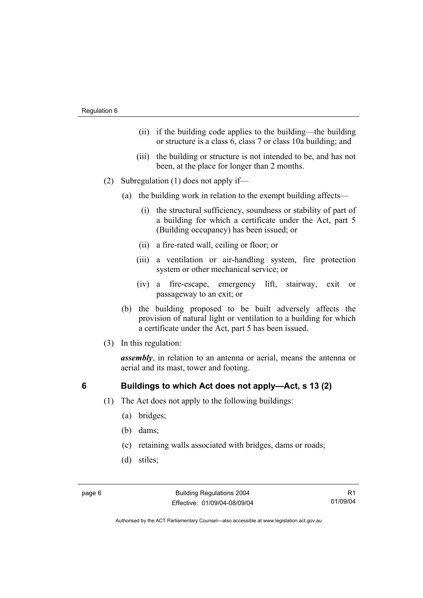- (ii) if the building code applies to the building—the building or structure is a class 6, class 7 or class 10a building; and
- (iii) the building or structure is not intended to be, and has not been, at the place for longer than 2 months.
- (2) Subregulation (1) does not apply if—
	- (a) the building work in relation to the exempt building affects—
		- (i) the structural sufficiency, soundness or stability of part of a building for which a certificate under the Act, part 5 (Building occupancy) has been issued; or
		- (ii) a fire-rated wall, ceiling or floor; or
		- (iii) a ventilation or air-handling system, fire protection system or other mechanical service; or
		- (iv) a fire-escape, emergency lift, stairway, exit or passageway to an exit; or
	- (b) the building proposed to be built adversely affects the provision of natural light or ventilation to a building for which a certificate under the Act, part 5 has been issued.
- (3) In this regulation:

*assembly*, in relation to an antenna or aerial, means the antenna or aerial and its mast, tower and footing.

# **6 Buildings to which Act does not apply—Act, s 13 (2)**

- (1) The Act does not apply to the following buildings:
	- (a) bridges;
	- (b) dams;
	- (c) retaining walls associated with bridges, dams or roads;
	- (d) stiles;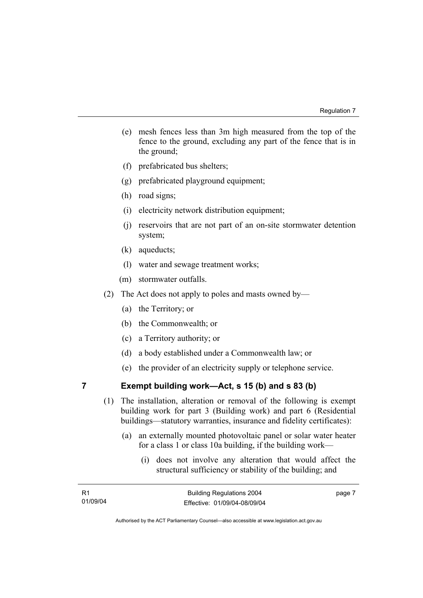- (e) mesh fences less than 3m high measured from the top of the fence to the ground, excluding any part of the fence that is in the ground;
- (f) prefabricated bus shelters;
- (g) prefabricated playground equipment;
- (h) road signs;
- (i) electricity network distribution equipment;
- (j) reservoirs that are not part of an on-site stormwater detention system;
- (k) aqueducts;
- (l) water and sewage treatment works;
- (m) stormwater outfalls.
- (2) The Act does not apply to poles and masts owned by—
	- (a) the Territory; or
	- (b) the Commonwealth; or
	- (c) a Territory authority; or
	- (d) a body established under a Commonwealth law; or
	- (e) the provider of an electricity supply or telephone service.

# **7 Exempt building work—Act, s 15 (b) and s 83 (b)**

- (1) The installation, alteration or removal of the following is exempt building work for part 3 (Building work) and part 6 (Residential buildings—statutory warranties, insurance and fidelity certificates):
	- (a) an externally mounted photovoltaic panel or solar water heater for a class 1 or class 10a building, if the building work—
		- (i) does not involve any alteration that would affect the structural sufficiency or stability of the building; and

| - R1     | <b>Building Regulations 2004</b> | page 7 |
|----------|----------------------------------|--------|
| 01/09/04 | Effective: 01/09/04-08/09/04     |        |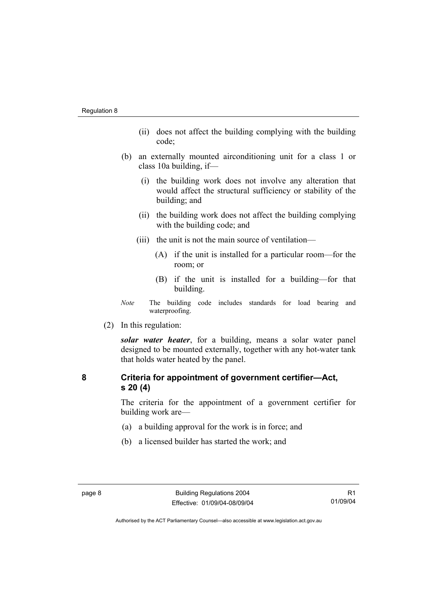- (ii) does not affect the building complying with the building code;
- (b) an externally mounted airconditioning unit for a class 1 or class 10a building, if—
	- (i) the building work does not involve any alteration that would affect the structural sufficiency or stability of the building; and
	- (ii) the building work does not affect the building complying with the building code; and
	- (iii) the unit is not the main source of ventilation—
		- (A) if the unit is installed for a particular room—for the room; or
		- (B) if the unit is installed for a building—for that building.
- *Note* The building code includes standards for load bearing and waterproofing.
- (2) In this regulation:

*solar water heater*, for a building, means a solar water panel designed to be mounted externally, together with any hot-water tank that holds water heated by the panel.

# **8 Criteria for appointment of government certifier—Act, s 20 (4)**

The criteria for the appointment of a government certifier for building work are—

- (a) a building approval for the work is in force; and
- (b) a licensed builder has started the work; and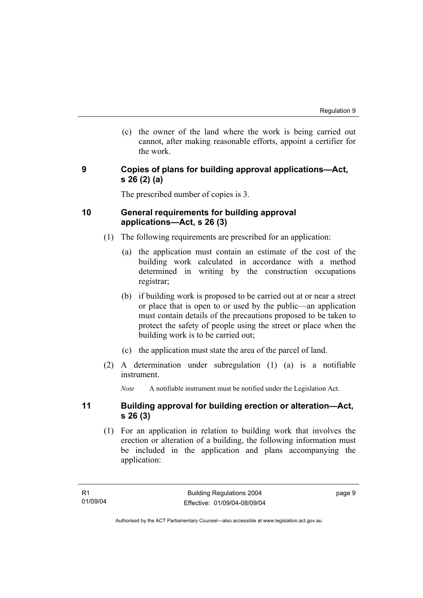(c) the owner of the land where the work is being carried out cannot, after making reasonable efforts, appoint a certifier for the work.

### **9 Copies of plans for building approval applications—Act, s 26 (2) (a)**

The prescribed number of copies is 3.

## **10 General requirements for building approval applications—Act, s 26 (3)**

- (1) The following requirements are prescribed for an application:
	- (a) the application must contain an estimate of the cost of the building work calculated in accordance with a method determined in writing by the construction occupations registrar;
	- (b) if building work is proposed to be carried out at or near a street or place that is open to or used by the public—an application must contain details of the precautions proposed to be taken to protect the safety of people using the street or place when the building work is to be carried out;
	- (c) the application must state the area of the parcel of land.
- (2) A determination under subregulation (1) (a) is a notifiable instrument.

*Note* A notifiable instrument must be notified under the Legislation Act.

### **11 Building approval for building erection or alteration—Act, s 26 (3)**

 (1) For an application in relation to building work that involves the erection or alteration of a building, the following information must be included in the application and plans accompanying the application: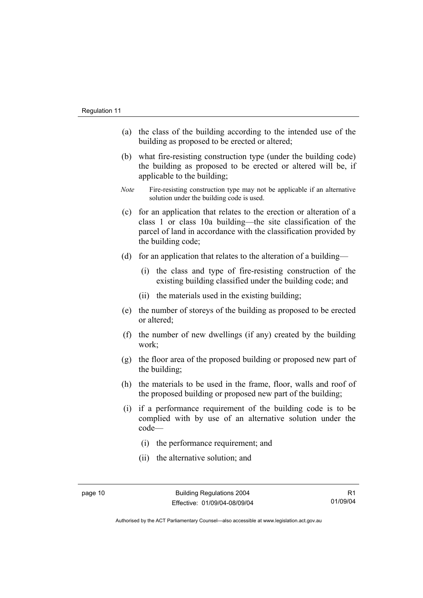- (a) the class of the building according to the intended use of the building as proposed to be erected or altered;
- (b) what fire-resisting construction type (under the building code) the building as proposed to be erected or altered will be, if applicable to the building;
- *Note* Fire-resisting construction type may not be applicable if an alternative solution under the building code is used.
- (c) for an application that relates to the erection or alteration of a class 1 or class 10a building—the site classification of the parcel of land in accordance with the classification provided by the building code;
- (d) for an application that relates to the alteration of a building—
	- (i) the class and type of fire-resisting construction of the existing building classified under the building code; and
	- (ii) the materials used in the existing building;
- (e) the number of storeys of the building as proposed to be erected or altered;
- (f) the number of new dwellings (if any) created by the building work;
- (g) the floor area of the proposed building or proposed new part of the building;
- (h) the materials to be used in the frame, floor, walls and roof of the proposed building or proposed new part of the building;
- (i) if a performance requirement of the building code is to be complied with by use of an alternative solution under the code—
	- (i) the performance requirement; and
	- (ii) the alternative solution; and

Authorised by the ACT Parliamentary Counsel—also accessible at www.legislation.act.gov.au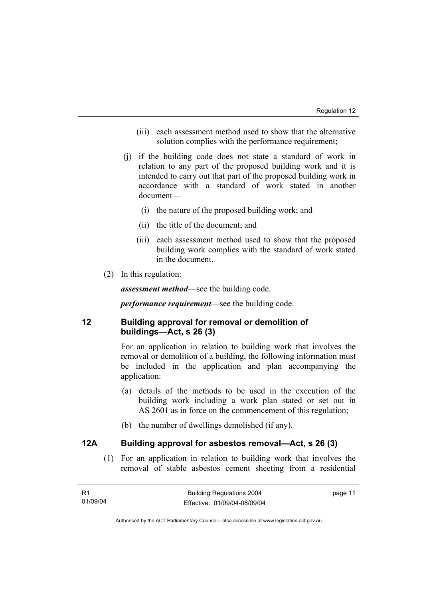- (iii) each assessment method used to show that the alternative solution complies with the performance requirement;
- (j) if the building code does not state a standard of work in relation to any part of the proposed building work and it is intended to carry out that part of the proposed building work in accordance with a standard of work stated in another document—
	- (i) the nature of the proposed building work; and
	- (ii) the title of the document; and
	- (iii) each assessment method used to show that the proposed building work complies with the standard of work stated in the document.
- (2) In this regulation:

*assessment method*—see the building code.

*performance requirement*—see the building code.

# **12 Building approval for removal or demolition of buildings—Act, s 26 (3)**

For an application in relation to building work that involves the removal or demolition of a building, the following information must be included in the application and plan accompanying the application:

- (a) details of the methods to be used in the execution of the building work including a work plan stated or set out in AS 2601 as in force on the commencement of this regulation;
- (b) the number of dwellings demolished (if any).

## **12A Building approval for asbestos removal—Act, s 26 (3)**

 (1) For an application in relation to building work that involves the removal of stable asbestos cement sheeting from a residential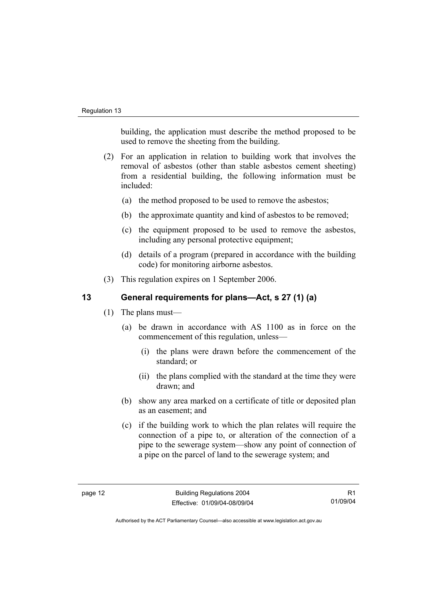building, the application must describe the method proposed to be used to remove the sheeting from the building.

- (2) For an application in relation to building work that involves the removal of asbestos (other than stable asbestos cement sheeting) from a residential building, the following information must be included:
	- (a) the method proposed to be used to remove the asbestos;
	- (b) the approximate quantity and kind of asbestos to be removed;
	- (c) the equipment proposed to be used to remove the asbestos, including any personal protective equipment;
	- (d) details of a program (prepared in accordance with the building code) for monitoring airborne asbestos.
- (3) This regulation expires on 1 September 2006.

# **13 General requirements for plans—Act, s 27 (1) (a)**

- (1) The plans must—
	- (a) be drawn in accordance with AS 1100 as in force on the commencement of this regulation, unless—
		- (i) the plans were drawn before the commencement of the standard; or
		- (ii) the plans complied with the standard at the time they were drawn; and
	- (b) show any area marked on a certificate of title or deposited plan as an easement; and
	- (c) if the building work to which the plan relates will require the connection of a pipe to, or alteration of the connection of a pipe to the sewerage system—show any point of connection of a pipe on the parcel of land to the sewerage system; and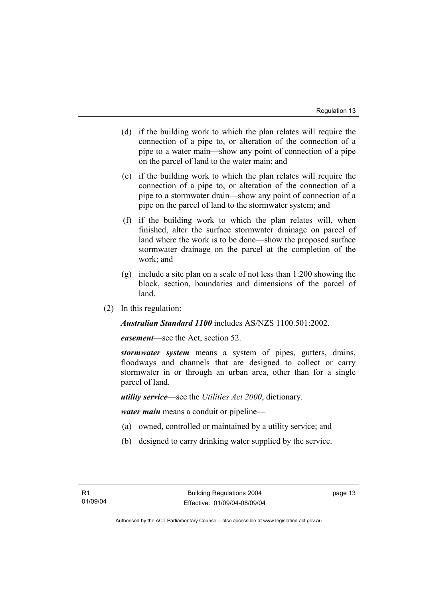- (d) if the building work to which the plan relates will require the connection of a pipe to, or alteration of the connection of a pipe to a water main—show any point of connection of a pipe on the parcel of land to the water main; and
- (e) if the building work to which the plan relates will require the connection of a pipe to, or alteration of the connection of a pipe to a stormwater drain—show any point of connection of a pipe on the parcel of land to the stormwater system; and
- (f) if the building work to which the plan relates will, when finished, alter the surface stormwater drainage on parcel of land where the work is to be done—show the proposed surface stormwater drainage on the parcel at the completion of the work; and
- (g) include a site plan on a scale of not less than 1:200 showing the block, section, boundaries and dimensions of the parcel of land.
- (2) In this regulation:

*Australian Standard 1100* includes AS/NZS 1100.501:2002.

*easement*—see the Act, section 52.

*stormwater system* means a system of pipes, gutters, drains, floodways and channels that are designed to collect or carry stormwater in or through an urban area, other than for a single parcel of land.

*utility service*—see the *Utilities Act 2000*, dictionary.

*water main* means a conduit or pipeline—

- (a) owned, controlled or maintained by a utility service; and
- (b) designed to carry drinking water supplied by the service.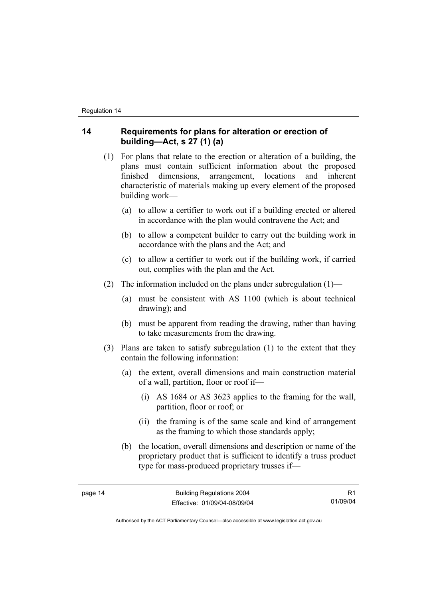# **14 Requirements for plans for alteration or erection of building—Act, s 27 (1) (a)**

- (1) For plans that relate to the erection or alteration of a building, the plans must contain sufficient information about the proposed finished dimensions, arrangement, locations and inherent characteristic of materials making up every element of the proposed building work—
	- (a) to allow a certifier to work out if a building erected or altered in accordance with the plan would contravene the Act; and
	- (b) to allow a competent builder to carry out the building work in accordance with the plans and the Act; and
	- (c) to allow a certifier to work out if the building work, if carried out, complies with the plan and the Act.
- (2) The information included on the plans under subregulation  $(1)$ 
	- (a) must be consistent with AS 1100 (which is about technical drawing); and
	- (b) must be apparent from reading the drawing, rather than having to take measurements from the drawing.
- (3) Plans are taken to satisfy subregulation (1) to the extent that they contain the following information:
	- (a) the extent, overall dimensions and main construction material of a wall, partition, floor or roof if—
		- (i) AS 1684 or AS 3623 applies to the framing for the wall, partition, floor or roof; or
		- (ii) the framing is of the same scale and kind of arrangement as the framing to which those standards apply;
	- (b) the location, overall dimensions and description or name of the proprietary product that is sufficient to identify a truss product type for mass-produced proprietary trusses if—

Authorised by the ACT Parliamentary Counsel—also accessible at www.legislation.act.gov.au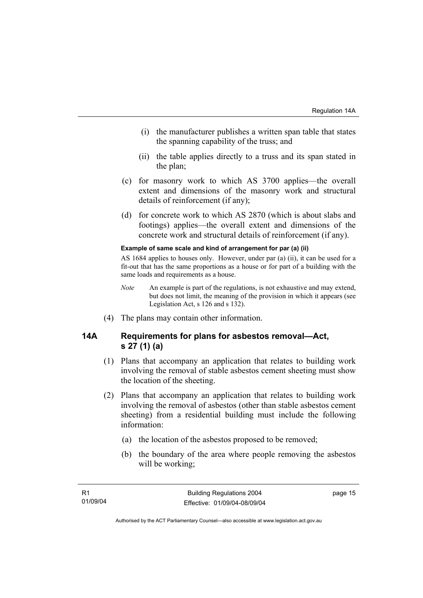- (i) the manufacturer publishes a written span table that states the spanning capability of the truss; and
- (ii) the table applies directly to a truss and its span stated in the plan;
- (c) for masonry work to which AS 3700 applies—the overall extent and dimensions of the masonry work and structural details of reinforcement (if any);
- (d) for concrete work to which AS 2870 (which is about slabs and footings) applies—the overall extent and dimensions of the concrete work and structural details of reinforcement (if any).

#### **Example of same scale and kind of arrangement for par (a) (ii)**

AS 1684 applies to houses only. However, under par (a) (ii), it can be used for a fit-out that has the same proportions as a house or for part of a building with the same loads and requirements as a house.

- *Note* An example is part of the regulations, is not exhaustive and may extend, but does not limit, the meaning of the provision in which it appears (see Legislation Act, s 126 and s 132).
- (4) The plans may contain other information.

### **14A Requirements for plans for asbestos removal—Act, s 27 (1) (a)**

- (1) Plans that accompany an application that relates to building work involving the removal of stable asbestos cement sheeting must show the location of the sheeting.
- (2) Plans that accompany an application that relates to building work involving the removal of asbestos (other than stable asbestos cement sheeting) from a residential building must include the following information:
	- (a) the location of the asbestos proposed to be removed;
	- (b) the boundary of the area where people removing the asbestos will be working;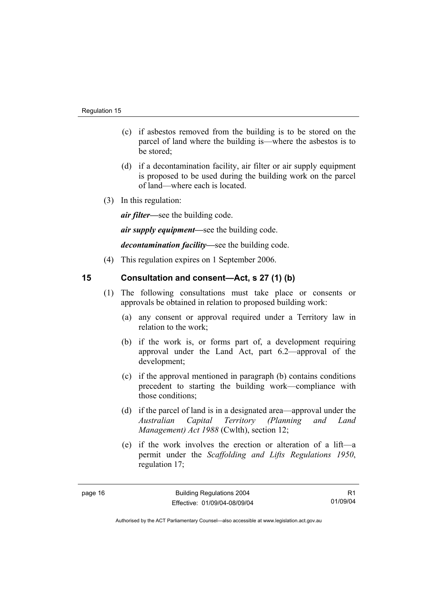- (c) if asbestos removed from the building is to be stored on the parcel of land where the building is—where the asbestos is to be stored;
- (d) if a decontamination facility, air filter or air supply equipment is proposed to be used during the building work on the parcel of land—where each is located.
- (3) In this regulation:

*air filter—*see the building code.

*air supply equipment—*see the building code.

*decontamination facility—*see the building code.

(4) This regulation expires on 1 September 2006.

# **15 Consultation and consent—Act, s 27 (1) (b)**

- (1) The following consultations must take place or consents or approvals be obtained in relation to proposed building work:
	- (a) any consent or approval required under a Territory law in relation to the work;
	- (b) if the work is, or forms part of, a development requiring approval under the Land Act, part 6.2—approval of the development;
	- (c) if the approval mentioned in paragraph (b) contains conditions precedent to starting the building work—compliance with those conditions;
	- (d) if the parcel of land is in a designated area—approval under the *Australian Capital Territory (Planning and Land Management) Act 1988* (Cwlth), section 12;
	- (e) if the work involves the erection or alteration of a lift—a permit under the *Scaffolding and Lifts Regulations 1950*, regulation 17;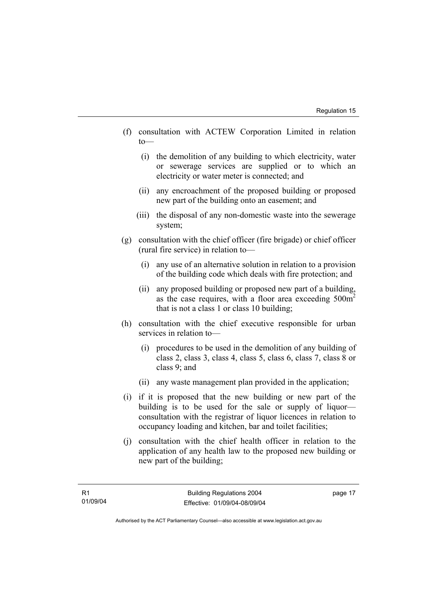- (f) consultation with ACTEW Corporation Limited in relation to—
	- (i) the demolition of any building to which electricity, water or sewerage services are supplied or to which an electricity or water meter is connected; and
	- (ii) any encroachment of the proposed building or proposed new part of the building onto an easement; and
	- (iii) the disposal of any non-domestic waste into the sewerage system;
- (g) consultation with the chief officer (fire brigade) or chief officer (rural fire service) in relation to—
	- (i) any use of an alternative solution in relation to a provision of the building code which deals with fire protection; and
	- (ii) any proposed building or proposed new part of a building, as the case requires, with a floor area exceeding  $500m<sup>2</sup>$ that is not a class 1 or class 10 building;
- (h) consultation with the chief executive responsible for urban services in relation to—
	- (i) procedures to be used in the demolition of any building of class 2, class 3, class 4, class 5, class 6, class 7, class 8 or class 9; and
	- (ii) any waste management plan provided in the application;
- (i) if it is proposed that the new building or new part of the building is to be used for the sale or supply of liquor consultation with the registrar of liquor licences in relation to occupancy loading and kitchen, bar and toilet facilities;
- (j) consultation with the chief health officer in relation to the application of any health law to the proposed new building or new part of the building;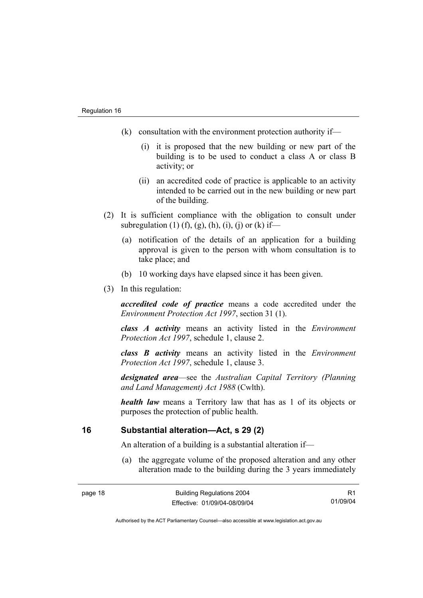- (k) consultation with the environment protection authority if—
	- (i) it is proposed that the new building or new part of the building is to be used to conduct a class A or class B activity; or
	- (ii) an accredited code of practice is applicable to an activity intended to be carried out in the new building or new part of the building.
- (2) It is sufficient compliance with the obligation to consult under subregulation (1) (f), (g), (h), (i), (j) or (k) if—
	- (a) notification of the details of an application for a building approval is given to the person with whom consultation is to take place; and
	- (b) 10 working days have elapsed since it has been given.
- (3) In this regulation:

*accredited code of practice* means a code accredited under the *Environment Protection Act 1997*, section 31 (1).

*class A activity* means an activity listed in the *Environment Protection Act 1997*, schedule 1, clause 2.

*class B activity* means an activity listed in the *Environment Protection Act 1997*, schedule 1, clause 3.

*designated area*—see the *Australian Capital Territory (Planning and Land Management) Act 1988* (Cwlth).

*health law* means a Territory law that has as 1 of its objects or purposes the protection of public health.

### **16 Substantial alteration—Act, s 29 (2)**

An alteration of a building is a substantial alteration if—

 (a) the aggregate volume of the proposed alteration and any other alteration made to the building during the 3 years immediately

R1 01/09/04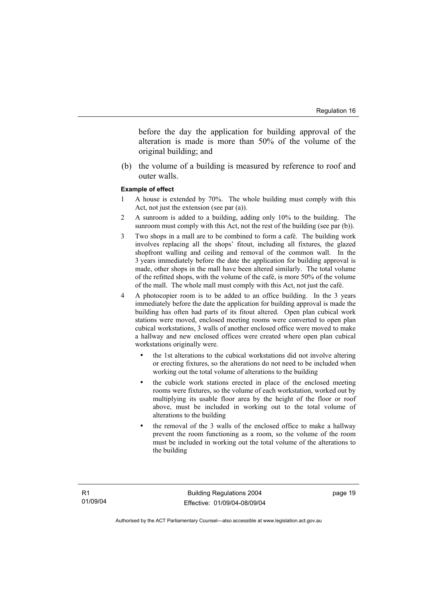before the day the application for building approval of the alteration is made is more than 50% of the volume of the original building; and

 (b) the volume of a building is measured by reference to roof and outer walls.

#### **Example of effect**

- 1 A house is extended by 70%. The whole building must comply with this Act, not just the extension (see par (a)).
- 2 A sunroom is added to a building, adding only 10% to the building. The sunroom must comply with this Act, not the rest of the building (see par (b)).
- 3 Two shops in a mall are to be combined to form a café. The building work involves replacing all the shops' fitout, including all fixtures, the glazed shopfront walling and ceiling and removal of the common wall. In the 3 years immediately before the date the application for building approval is made, other shops in the mall have been altered similarly. The total volume of the refitted shops, with the volume of the café, is more 50% of the volume of the mall. The whole mall must comply with this Act, not just the café.
- 4 A photocopier room is to be added to an office building. In the 3 years immediately before the date the application for building approval is made the building has often had parts of its fitout altered. Open plan cubical work stations were moved, enclosed meeting rooms were converted to open plan cubical workstations, 3 walls of another enclosed office were moved to make a hallway and new enclosed offices were created where open plan cubical workstations originally were.
	- the 1st alterations to the cubical workstations did not involve altering or erecting fixtures, so the alterations do not need to be included when working out the total volume of alterations to the building
	- the cubicle work stations erected in place of the enclosed meeting rooms were fixtures, so the volume of each workstation, worked out by multiplying its usable floor area by the height of the floor or roof above, must be included in working out to the total volume of alterations to the building
	- the removal of the 3 walls of the enclosed office to make a hallway prevent the room functioning as a room, so the volume of the room must be included in working out the total volume of the alterations to the building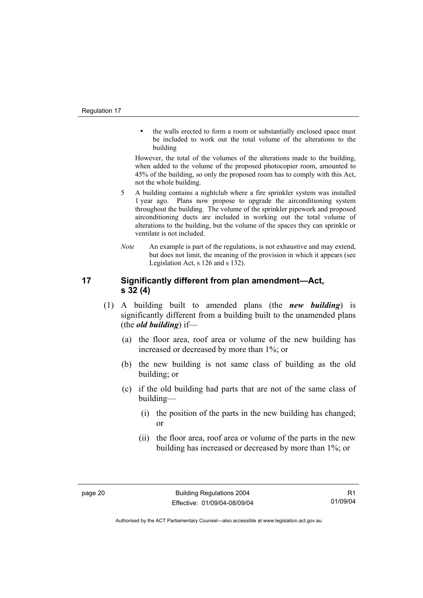• the walls erected to form a room or substantially enclosed space must be included to work out the total volume of the alterations to the building

However, the total of the volumes of the alterations made to the building, when added to the volume of the proposed photocopier room, amounted to 45% of the building, so only the proposed room has to comply with this Act, not the whole building.

- 5 A building contains a nightclub where a fire sprinkler system was installed 1 year ago. Plans now propose to upgrade the airconditioning system throughout the building. The volume of the sprinkler pipework and proposed airconditioning ducts are included in working out the total volume of alterations to the building, but the volume of the spaces they can sprinkle or ventilate is not included.
- *Note* An example is part of the regulations, is not exhaustive and may extend, but does not limit, the meaning of the provision in which it appears (see Legislation Act, s 126 and s 132).

# **17 Significantly different from plan amendment—Act, s 32 (4)**

- (1) A building built to amended plans (the *new building*) is significantly different from a building built to the unamended plans (the *old building*) if—
	- (a) the floor area, roof area or volume of the new building has increased or decreased by more than 1%; or
	- (b) the new building is not same class of building as the old building; or
	- (c) if the old building had parts that are not of the same class of building—
		- (i) the position of the parts in the new building has changed; or
		- (ii) the floor area, roof area or volume of the parts in the new building has increased or decreased by more than 1%; or

Authorised by the ACT Parliamentary Counsel—also accessible at www.legislation.act.gov.au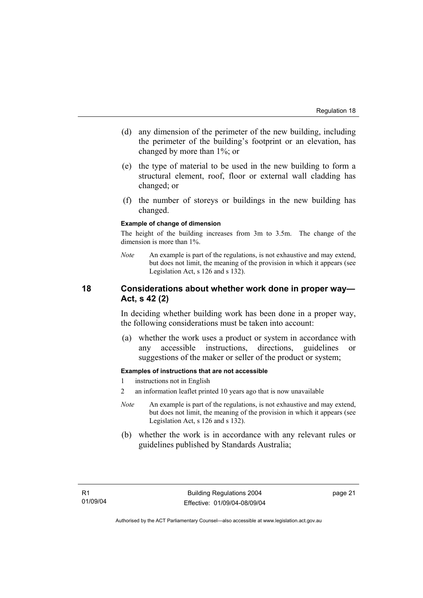- (d) any dimension of the perimeter of the new building, including the perimeter of the building's footprint or an elevation, has changed by more than 1%; or
- (e) the type of material to be used in the new building to form a structural element, roof, floor or external wall cladding has changed; or
- (f) the number of storeys or buildings in the new building has changed.

#### **Example of change of dimension**

The height of the building increases from 3m to 3.5m. The change of the dimension is more than 1%.

*Note* An example is part of the regulations, is not exhaustive and may extend, but does not limit, the meaning of the provision in which it appears (see Legislation Act, s 126 and s 132).

### **18 Considerations about whether work done in proper way— Act, s 42 (2)**

In deciding whether building work has been done in a proper way, the following considerations must be taken into account:

 (a) whether the work uses a product or system in accordance with any accessible instructions, directions, guidelines or suggestions of the maker or seller of the product or system;

#### **Examples of instructions that are not accessible**

- 1 instructions not in English
- 2 an information leaflet printed 10 years ago that is now unavailable
- *Note* An example is part of the regulations, is not exhaustive and may extend, but does not limit, the meaning of the provision in which it appears (see Legislation Act, s 126 and s 132).
- (b) whether the work is in accordance with any relevant rules or guidelines published by Standards Australia;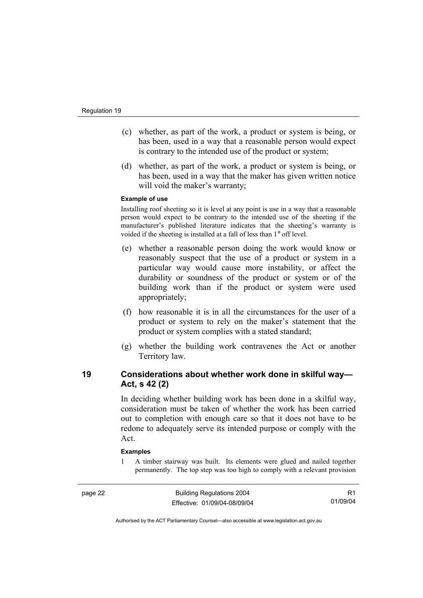- (c) whether, as part of the work, a product or system is being, or has been, used in a way that a reasonable person would expect is contrary to the intended use of the product or system;
- (d) whether, as part of the work, a product or system is being, or has been, used in a way that the maker has given written notice will void the maker's warranty;

#### **Example of use**

Installing roof sheeting so it is level at any point is use in a way that a reasonable person would expect to be contrary to the intended use of the sheeting if the manufacturer's published literature indicates that the sheeting's warranty is voided if the sheeting is installed at a fall of less than 1° off level.

- (e) whether a reasonable person doing the work would know or reasonably suspect that the use of a product or system in a particular way would cause more instability, or affect the durability or soundness of the product or system or of the building work than if the product or system were used appropriately;
- (f) how reasonable it is in all the circumstances for the user of a product or system to rely on the maker's statement that the product or system complies with a stated standard;
- (g) whether the building work contravenes the Act or another Territory law.

# **19 Considerations about whether work done in skilful way— Act, s 42 (2)**

In deciding whether building work has been done in a skilful way, consideration must be taken of whether the work has been carried out to completion with enough care so that it does not have to be redone to adequately serve its intended purpose or comply with the Act.

#### **Examples**

1 A timber stairway was built. Its elements were glued and nailed together permanently. The top step was too high to comply with a relevant provision

R1 01/09/04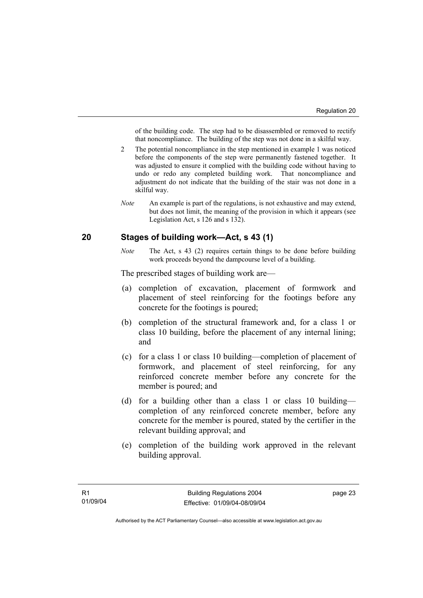of the building code. The step had to be disassembled or removed to rectify that noncompliance. The building of the step was not done in a skilful way.

- 2 The potential noncompliance in the step mentioned in example 1 was noticed before the components of the step were permanently fastened together. It was adjusted to ensure it complied with the building code without having to undo or redo any completed building work. That noncompliance and adjustment do not indicate that the building of the stair was not done in a skilful way.
- *Note* An example is part of the regulations, is not exhaustive and may extend, but does not limit, the meaning of the provision in which it appears (see Legislation Act, s 126 and s 132).

### **20 Stages of building work—Act, s 43 (1)**

*Note* The Act, s 43 (2) requires certain things to be done before building work proceeds beyond the dampcourse level of a building.

The prescribed stages of building work are—

- (a) completion of excavation, placement of formwork and placement of steel reinforcing for the footings before any concrete for the footings is poured;
- (b) completion of the structural framework and, for a class 1 or class 10 building, before the placement of any internal lining; and
- (c) for a class 1 or class 10 building—completion of placement of formwork, and placement of steel reinforcing, for any reinforced concrete member before any concrete for the member is poured; and
- (d) for a building other than a class 1 or class 10 building completion of any reinforced concrete member, before any concrete for the member is poured, stated by the certifier in the relevant building approval; and
- (e) completion of the building work approved in the relevant building approval.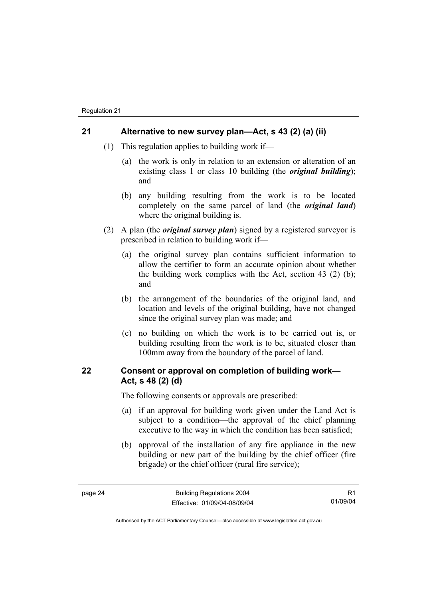### **21 Alternative to new survey plan—Act, s 43 (2) (a) (ii)**

- (1) This regulation applies to building work if—
	- (a) the work is only in relation to an extension or alteration of an existing class 1 or class 10 building (the *original building*); and
	- (b) any building resulting from the work is to be located completely on the same parcel of land (the *original land*) where the original building is.
- (2) A plan (the *original survey plan*) signed by a registered surveyor is prescribed in relation to building work if—
	- (a) the original survey plan contains sufficient information to allow the certifier to form an accurate opinion about whether the building work complies with the Act, section 43 (2) (b); and
	- (b) the arrangement of the boundaries of the original land, and location and levels of the original building, have not changed since the original survey plan was made; and
	- (c) no building on which the work is to be carried out is, or building resulting from the work is to be, situated closer than 100mm away from the boundary of the parcel of land.

# **22 Consent or approval on completion of building work— Act, s 48 (2) (d)**

The following consents or approvals are prescribed:

- (a) if an approval for building work given under the Land Act is subject to a condition—the approval of the chief planning executive to the way in which the condition has been satisfied;
- (b) approval of the installation of any fire appliance in the new building or new part of the building by the chief officer (fire brigade) or the chief officer (rural fire service);

R1 01/09/04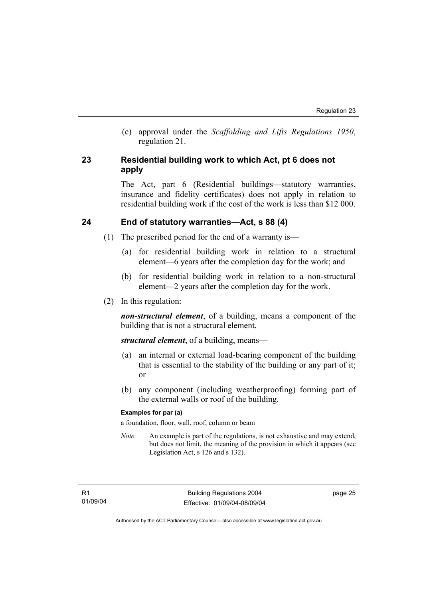(c) approval under the *Scaffolding and Lifts Regulations 1950*, regulation 21.

# **23 Residential building work to which Act, pt 6 does not apply**

The Act, part 6 (Residential buildings—statutory warranties, insurance and fidelity certificates) does not apply in relation to residential building work if the cost of the work is less than \$12 000.

# **24 End of statutory warranties—Act, s 88 (4)**

- (1) The prescribed period for the end of a warranty is—
	- (a) for residential building work in relation to a structural element—6 years after the completion day for the work; and
	- (b) for residential building work in relation to a non-structural element—2 years after the completion day for the work.
- (2) In this regulation:

*non-structural element*, of a building, means a component of the building that is not a structural element.

*structural element*, of a building, means—

- (a) an internal or external load-bearing component of the building that is essential to the stability of the building or any part of it; or
- (b) any component (including weatherproofing) forming part of the external walls or roof of the building.

#### **Examples for par (a)**

a foundation, floor, wall, roof, column or beam

*Note* An example is part of the regulations, is not exhaustive and may extend, but does not limit, the meaning of the provision in which it appears (see Legislation Act, s 126 and s 132).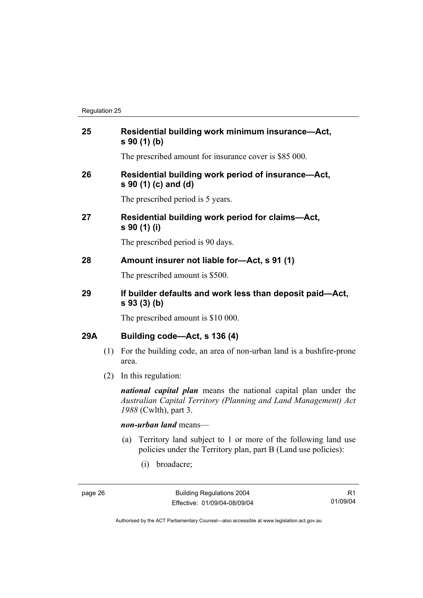| 25  |     | Residential building work minimum insurance-Act,<br>s 90 (1) (b)                                                                                                   |
|-----|-----|--------------------------------------------------------------------------------------------------------------------------------------------------------------------|
|     |     | The prescribed amount for insurance cover is \$85 000.                                                                                                             |
| 26  |     | Residential building work period of insurance-Act,<br>s 90 (1) (c) and (d)                                                                                         |
|     |     | The prescribed period is 5 years.                                                                                                                                  |
| 27  |     | Residential building work period for claims-Act,<br>s 90 (1) (i)                                                                                                   |
|     |     | The prescribed period is 90 days.                                                                                                                                  |
| 28  |     | Amount insurer not liable for-Act, s 91 (1)                                                                                                                        |
|     |     | The prescribed amount is \$500.                                                                                                                                    |
| 29  |     | If builder defaults and work less than deposit paid-Act,<br>s 93 (3) (b)                                                                                           |
|     |     | The prescribed amount is \$10 000.                                                                                                                                 |
| 29A |     | Building code-Act, s 136 (4)                                                                                                                                       |
|     | (1) | For the building code, an area of non-urban land is a bushfire-prone<br>area.                                                                                      |
|     | (2) | In this regulation:                                                                                                                                                |
|     |     | <i>national capital plan</i> means the national capital plan under the<br>Australian Capital Territory (Planning and Land Management) Act<br>1988 (Cwlth), part 3. |
|     |     | non-urban land means-                                                                                                                                              |
|     |     | Territory land subject to 1 or more of the following land use<br>(a)<br>policies under the Territory plan, part B (Land use policies):                             |
|     |     | (i)<br>broadacre;                                                                                                                                                  |

R1 01/09/04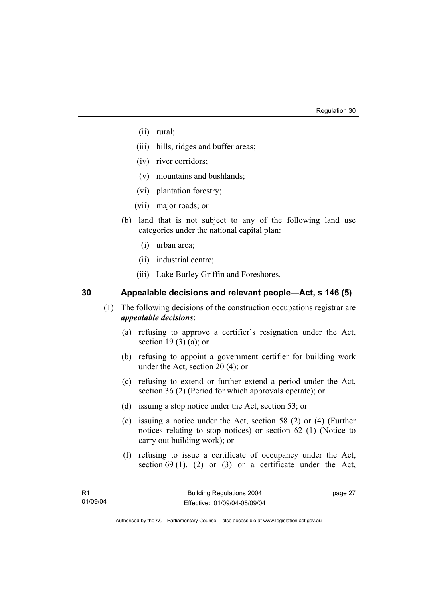- (ii) rural;
- (iii) hills, ridges and buffer areas;
- (iv) river corridors;
- (v) mountains and bushlands;
- (vi) plantation forestry;
- (vii) major roads; or
- (b) land that is not subject to any of the following land use categories under the national capital plan:
	- (i) urban area;
	- (ii) industrial centre;
	- (iii) Lake Burley Griffin and Foreshores.

# **30 Appealable decisions and relevant people—Act, s 146 (5)**

- (1) The following decisions of the construction occupations registrar are *appealable decisions*:
	- (a) refusing to approve a certifier's resignation under the Act, section 19 (3) (a); or
	- (b) refusing to appoint a government certifier for building work under the Act, section 20 (4); or
	- (c) refusing to extend or further extend a period under the Act, section 36 (2) (Period for which approvals operate); or
	- (d) issuing a stop notice under the Act, section 53; or
	- (e) issuing a notice under the Act, section 58 (2) or (4) (Further notices relating to stop notices) or section 62 (1) (Notice to carry out building work); or
	- (f) refusing to issue a certificate of occupancy under the Act, section 69 (1), (2) or (3) or a certificate under the Act,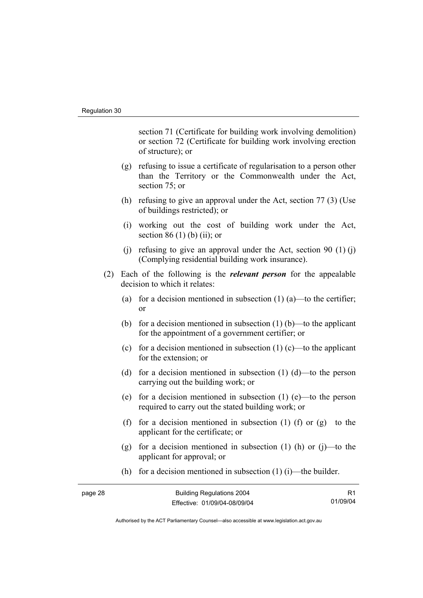section 71 (Certificate for building work involving demolition) or section 72 (Certificate for building work involving erection of structure); or

- (g) refusing to issue a certificate of regularisation to a person other than the Territory or the Commonwealth under the Act, section 75; or
- (h) refusing to give an approval under the Act, section 77 (3) (Use of buildings restricted); or
- (i) working out the cost of building work under the Act, section 86 (1) (b) (ii); or
- (i) refusing to give an approval under the Act, section 90  $(1)$  (j) (Complying residential building work insurance).
- (2) Each of the following is the *relevant person* for the appealable decision to which it relates:
	- (a) for a decision mentioned in subsection  $(1)$  (a)—to the certifier; or
	- (b) for a decision mentioned in subsection  $(1)$  (b)—to the applicant for the appointment of a government certifier; or
	- (c) for a decision mentioned in subsection  $(1)$  (c)—to the applicant for the extension; or
	- (d) for a decision mentioned in subsection (1) (d)—to the person carrying out the building work; or
	- (e) for a decision mentioned in subsection (1) (e)—to the person required to carry out the stated building work; or
	- (f) for a decision mentioned in subsection (1) (f) or  $(g)$ —to the applicant for the certificate; or
	- (g) for a decision mentioned in subsection  $(1)$  (h) or  $(i)$ —to the applicant for approval; or
	- (h) for a decision mentioned in subsection  $(1)$  (i)—the builder.

| page 28 | <b>Building Regulations 2004</b> |          |
|---------|----------------------------------|----------|
|         | Effective: 01/09/04-08/09/04     | 01/09/04 |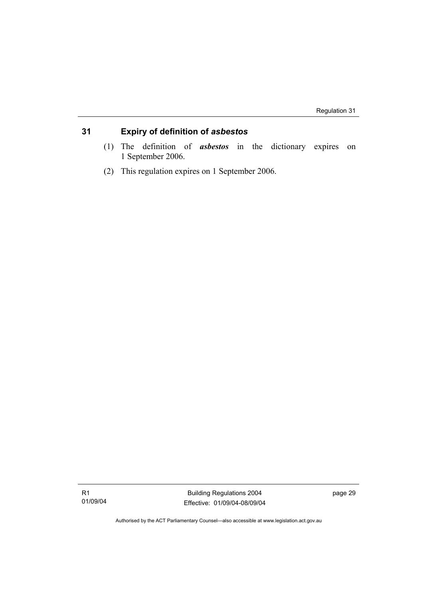# **31 Expiry of definition of** *asbestos*

- (1) The definition of *asbestos* in the dictionary expires on 1 September 2006.
- (2) This regulation expires on 1 September 2006.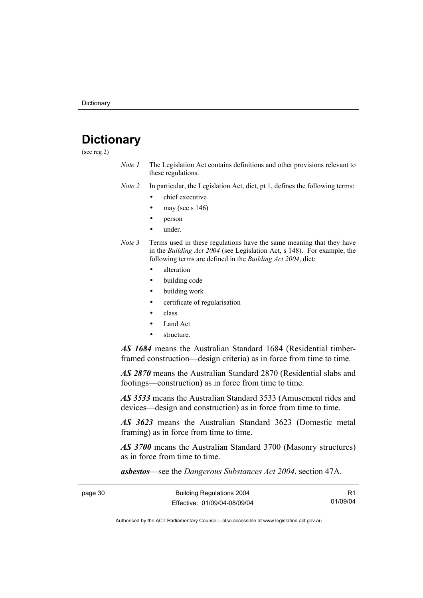# **Dictionary**

(see reg 2)

*Note 1* The Legislation Act contains definitions and other provisions relevant to these regulations.

*Note 2* In particular, the Legislation Act, dict, pt 1, defines the following terms:

- chief executive
- may (see s  $146$ )
- person
- under.
- *Note 3* Terms used in these regulations have the same meaning that they have in the *Building Act 2004* (see Legislation Act, s 148). For example, the following terms are defined in the *Building Act 2004*, dict:
	- alteration
	- building code
	- building work
	- certificate of regularisation
	- class
	- Land Act
	- structure.

*AS 1684* means the Australian Standard 1684 (Residential timberframed construction—design criteria) as in force from time to time.

*AS 2870* means the Australian Standard 2870 (Residential slabs and footings—construction) as in force from time to time.

*AS 3533* means the Australian Standard 3533 (Amusement rides and devices—design and construction) as in force from time to time.

*AS 3623* means the Australian Standard 3623 (Domestic metal framing) as in force from time to time.

*AS 3700* means the Australian Standard 3700 (Masonry structures) as in force from time to time.

*asbestos*—see the *Dangerous Substances Act 2004*, section 47A.

| page 30 | <b>Building Regulations 2004</b> | R1       |
|---------|----------------------------------|----------|
|         | Effective: 01/09/04-08/09/04     | 01/09/04 |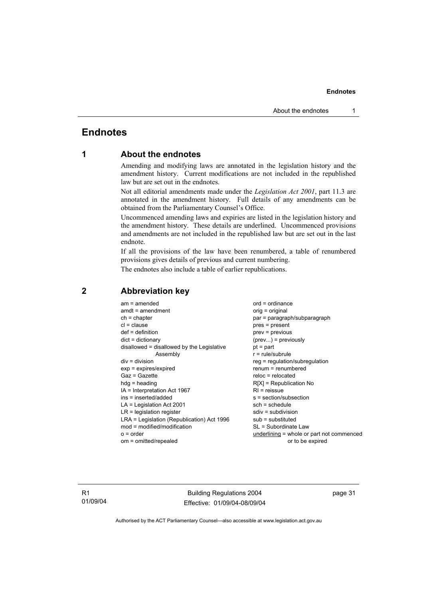#### **Endnotes**

# **Endnotes**

# **1 About the endnotes**

Amending and modifying laws are annotated in the legislation history and the amendment history. Current modifications are not included in the republished law but are set out in the endnotes.

Not all editorial amendments made under the *Legislation Act 2001*, part 11.3 are annotated in the amendment history. Full details of any amendments can be obtained from the Parliamentary Counsel's Office.

Uncommenced amending laws and expiries are listed in the legislation history and the amendment history. These details are underlined. Uncommenced provisions and amendments are not included in the republished law but are set out in the last endnote.

If all the provisions of the law have been renumbered, a table of renumbered provisions gives details of previous and current numbering.

The endnotes also include a table of earlier republications.

| $am = amended$                             | $ord = ordinance$                         |
|--------------------------------------------|-------------------------------------------|
| $amdt = amendment$                         | orig = original                           |
| $ch = chapter$                             | par = paragraph/subparagraph              |
| $cl = clause$                              | $pres = present$                          |
| $def = definition$                         | $prev = previous$                         |
| $dict = dictionary$                        | $(\text{prev})$ = previously              |
| disallowed = disallowed by the Legislative | $pt = part$                               |
| Assembly                                   | $r = rule/subrule$                        |
| $div = division$                           | $reg = regulation/subregulation$          |
| $exp = expires/expired$                    | $renum = renumbered$                      |
| $Gaz = Gazette$                            | $reloc = relocated$                       |
| $hdg = heading$                            | $R[X]$ = Republication No                 |
| $IA = Interpretation Act 1967$             | $RI =$ reissue                            |
| $ins = inserted/added$                     | s = section/subsection                    |
| $LA =$ Legislation Act 2001                | $sch = schedule$                          |
| $LR =$ legislation register                | $sdiv = subdivision$                      |
| LRA = Legislation (Republication) Act 1996 | $sub =$ substituted                       |
| $mod = modified/modification$              | SL = Subordinate Law                      |
| $o = order$                                | underlining = whole or part not commenced |
| om = omitted/repealed                      | or to be expired                          |
|                                            |                                           |

#### **2 Abbreviation key**

R1 01/09/04

Building Regulations 2004 Effective: 01/09/04-08/09/04 page 31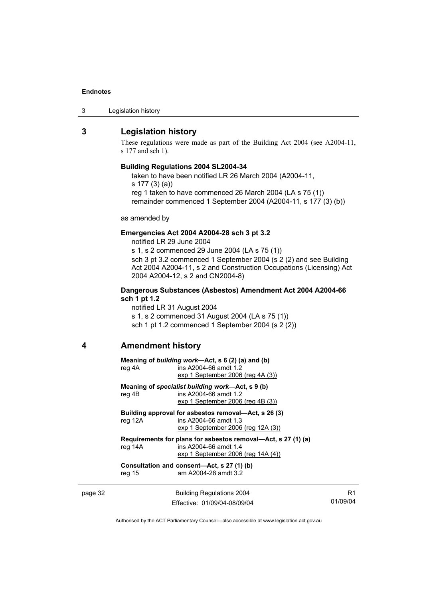#### **Endnotes**

#### **3 Legislation history**

These regulations were made as part of the Building Act 2004 (see A2004-11, s 177 and sch 1).

#### **Building Regulations 2004 SL2004-34**

taken to have been notified LR 26 March 2004 (A2004-11, s 177 (3) (a)) reg 1 taken to have commenced 26 March 2004 (LA s 75 (1)) remainder commenced 1 September 2004 (A2004-11, s 177 (3) (b))

as amended by

#### **Emergencies Act 2004 A2004-28 sch 3 pt 3.2**

notified LR 29 June 2004 s 1, s 2 commenced 29 June 2004 (LA s 75 (1)) sch 3 pt 3.2 commenced 1 September 2004 (s 2 (2) and see Building Act 2004 A2004-11, s 2 and Construction Occupations (Licensing) Act 2004 A2004-12, s 2 and CN2004-8)

#### **Dangerous Substances (Asbestos) Amendment Act 2004 A2004-66 sch 1 pt 1.2**

notified LR 31 August 2004

s 1, s 2 commenced 31 August 2004 (LA s 75 (1)) sch 1 pt 1.2 commenced 1 September 2004 (s 2 (2))

### **4 Amendment history**

**Meaning of** *building work***—Act, s 6 (2) (a) and (b)**  reg 4A ins A2004-66 amdt 1.2 exp 1 September 2006 (reg 4A (3))

**Meaning of** *specialist building work***—Act, s 9 (b)**  reg 4B ins A2004-66 amdt 1.2 exp 1 September 2006 (reg 4B (3))

**Building approval for asbestos removal—Act, s 26 (3)**  reg 12A ins A2004-66 amdt 1.3 exp 1 September 2006 (reg 12A (3))

**Requirements for plans for asbestos removal—Act, s 27 (1) (a)**  reg 14A ins A2004-66 amdt 1.4 exp 1 September 2006 (reg 14A (4))

**Consultation and consent—Act, s 27 (1) (b)**  reg 15 am A2004-28 amdt 3.2

page 32 Building Regulations 2004 Effective: 01/09/04-08/09/04

R1 01/09/04